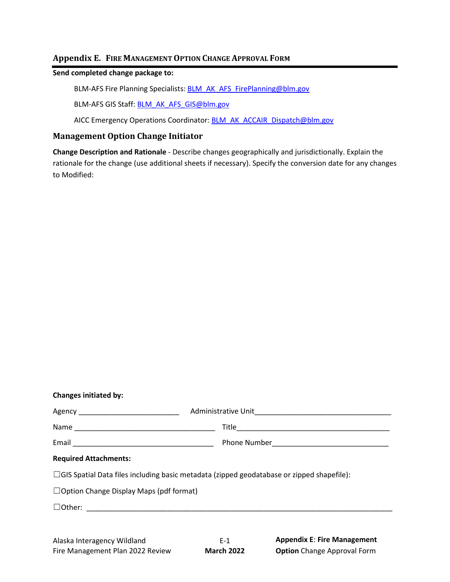# **Appendix E. FIRE MANAGEMENT OPTION CHANGE APPROVAL FORM**

# **Send completed change package to:**

BLM-AFS Fire Planning Specialists: BLM\_AK\_AFS\_FirePlanning@blm.gov

BLM-AFS GIS Staff: **BLM\_AK\_AFS\_GIS@blm.gov** 

AICC Emergency Operations Coordinator: **BLM\_AK\_ACCAIR\_Dispatch@blm.gov** 

# **Management Option Change Initiator**

**Change Description and Rationale** - Describe changes geographically and jurisdictionally. Explain the rationale for the change (use additional sheets if necessary). Specify the conversion date for any changes to Modified:

| Changes initiated by:                                                                            |  |
|--------------------------------------------------------------------------------------------------|--|
|                                                                                                  |  |
|                                                                                                  |  |
|                                                                                                  |  |
| <b>Required Attachments:</b>                                                                     |  |
| $\Box$ GIS Spatial Data files including basic metadata (zipped geodatabase or zipped shapefile): |  |
| $\Box$ Option Change Display Maps (pdf format)                                                   |  |
|                                                                                                  |  |
|                                                                                                  |  |
|                                                                                                  |  |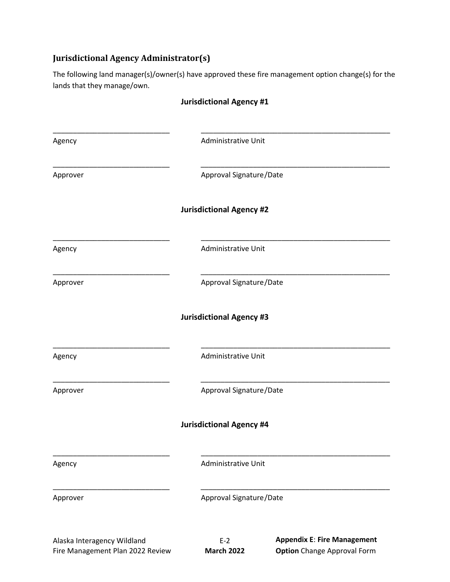# **Jurisdictional Agency Administrator(s)**

The following land manager(s)/owner(s) have approved these fire management option change(s) for the lands that they manage/own.

|          | <b>Jurisdictional Agency #1</b> |
|----------|---------------------------------|
| Agency   | Administrative Unit             |
| Approver | Approval Signature/Date         |
|          | <b>Jurisdictional Agency #2</b> |
| Agency   | Administrative Unit             |
| Approver | Approval Signature/Date         |
|          | <b>Jurisdictional Agency #3</b> |
| Agency   | Administrative Unit             |
| Approver | Approval Signature/Date         |
|          | <b>Jurisdictional Agency #4</b> |
| Agency   | Administrative Unit             |
| Approver | Approval Signature/Date         |
|          | Annandiv F. Eira Managamant     |